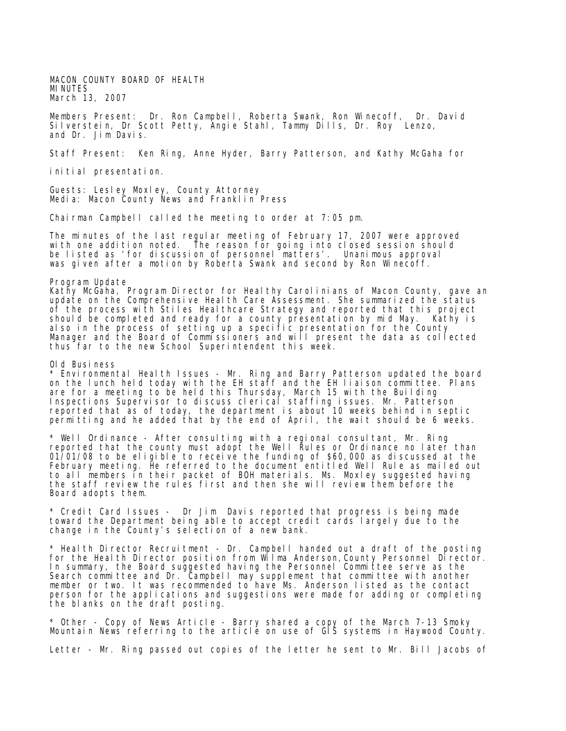MACON COUNTY BOARD OF HEALTH MINUTES March 13, 2007

Members Present: Dr. Ron Campbell, Roberta Swank, Ron Winecoff, Dr. David Silverstein, Dr Scott Petty, Angie Stahl, Tammy Dills, Dr. Roy Lenzo, and Dr. Jim Davis.

Staff Present: Ken Ring, Anne Hyder, Barry Patterson, and Kathy McGaha for

initial presentation.

Guests: Lesley Moxley, County Attorney Media: Macon County News and Franklin Press

Chairman Campbell called the meeting to order at 7:05 pm.

The minutes of the last regular meeting of February 17, 2007 were approved with one addition noted. The reason for going into closed session should be listed as 'for discussion of personnel matters'. Unanimous approval was given after a motion by Roberta Swank and second by Ron Winecoff.

Program Update

Kathy McGaha, Program Director for Healthy Carolinians of Macon County, gave an update on the Comprehensive Health Care Assessment. She summarized the status of the process with Stiles Healthcare Strategy and reported that this project should be completed and ready for a county presentation by mid May. Kathy is also in the process of setting up a specific presentation for the County Manager and the Board of Commissioners and will present the data as collected thus far to the new School Superintendent this week.

Old Business

 $^\star$  Environmental Health Issues - Mr. Ring and Barry Patterson updated the board on the lunch held today with the EH staff and the EH liaison committee. Plans are for a meeting to be held this Thursday, March 15 with the Building Inspections Supervisor to discuss clerical staffing issues. Mr. Patterson reported that as of today, the department is about 10 weeks behind in septic permitting and he added that by the end of April, the wait should be 6 weeks.

\* Well Ordinance - After consulting with a regional consultant, Mr. Ring reported that the county must adopt the Well Rules or Ordinance no later than 01/01/08 to be eligible to receive the funding of \$60,000 as discussed at the February meeting. He referred to the document entitled Well Rule as mailed out to all members in their packet of BOH materials. Ms. Moxley suggested having the staff review the rules first and then she will review them before the Board adopts them.

\* Credit Card Issues - Dr Jim Davis reported that progress is being made toward the Department being able to accept credit cards largely due to the change in the County's selection of a new bank.

\* Health Director Recruitment - Dr. Campbell handed out a draft of the posting for the Health Director position from Wilma Anderson, County Personnel Director. In summary, the Board suggested having the Personnel Committee serve as the Search committee and Dr. Campbell may supplement that committee with another member or two. It was recommended to have Ms. Anderson listed as the contact person for the applications and suggestions were made for adding or completing the blanks on the draft posting.

\* Other - Copy of News Article - Barry shared a copy of the March 7-13 Smoky Mountain News referring to the article on use of GIS systems in Haywood County.

Letter - Mr. Ring passed out copies of the letter he sent to Mr. Bill Jacobs of